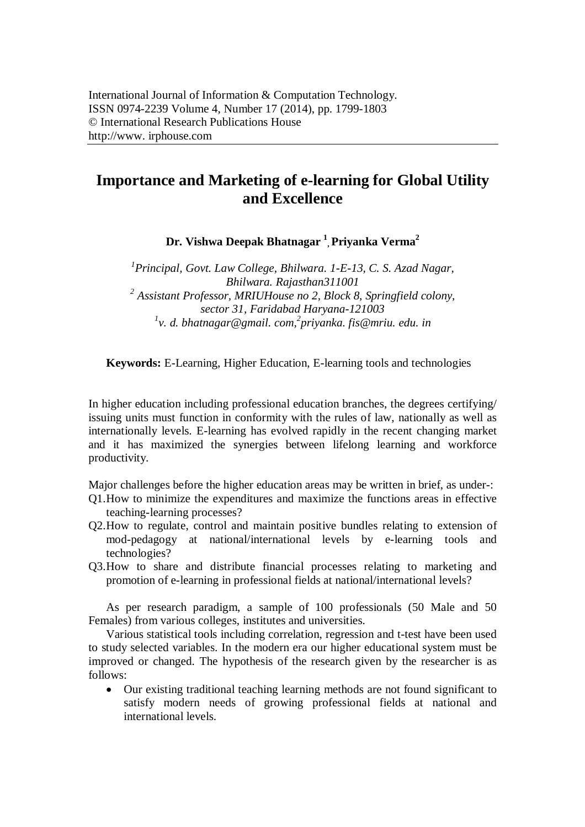# **Importance and Marketing of e-learning for Global Utility and Excellence**

**Dr. Vishwa Deepak Bhatnagar <sup>1</sup> , Priyanka Verma<sup>2</sup>**

*1 Principal, Govt. Law College, Bhilwara. 1-E-13, C. S. Azad Nagar, Bhilwara. Rajasthan311001 2 Assistant Professor, MRIUHouse no 2, Block 8, Springfield colony, sector 31, Faridabad Haryana-121003 1 v. d. bhatnagar@gmail. com, 2 priyanka. fis@mriu. edu. in*

**Keywords:** E-Learning, Higher Education, E-learning tools and technologies

In higher education including professional education branches, the degrees certifying/ issuing units must function in conformity with the rules of law, nationally as well as internationally levels. E-learning has evolved rapidly in the recent changing market and it has maximized the synergies between lifelong learning and workforce productivity.

Major challenges before the higher education areas may be written in brief, as under-:

- Q1.How to minimize the expenditures and maximize the functions areas in effective teaching-learning processes?
- Q2.How to regulate, control and maintain positive bundles relating to extension of mod-pedagogy at national/international levels by e-learning tools and technologies?
- Q3.How to share and distribute financial processes relating to marketing and promotion of e-learning in professional fields at national/international levels?

As per research paradigm, a sample of 100 professionals (50 Male and 50 Females) from various colleges, institutes and universities.

Various statistical tools including correlation, regression and t-test have been used to study selected variables. In the modern era our higher educational system must be improved or changed. The hypothesis of the research given by the researcher is as follows:

 Our existing traditional teaching learning methods are not found significant to satisfy modern needs of growing professional fields at national and international levels.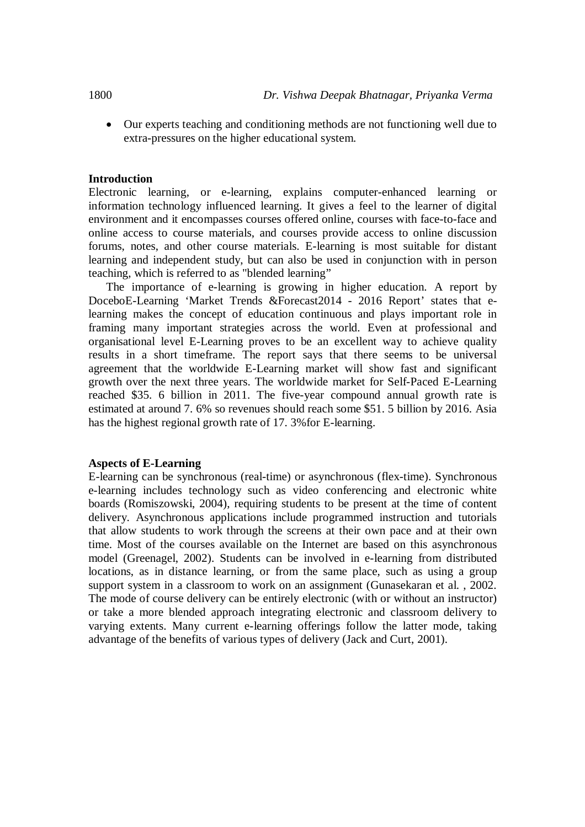Our experts teaching and conditioning methods are not functioning well due to extra-pressures on the higher educational system.

#### **Introduction**

Electronic learning, or e-learning, explains computer-enhanced learning or information technology influenced learning. It gives a feel to the learner of digital environment and it encompasses courses offered online, courses with face-to-face and online access to course materials, and courses provide access to online discussion forums, notes, and other course materials. E-learning is most suitable for distant learning and independent study, but can also be used in conjunction with in person teaching, which is referred to as "blended learning"

The importance of e-learning is growing in higher education. A report by DoceboE-Learning 'Market Trends &Forecast2014 - 2016 Report' states that elearning makes the concept of education continuous and plays important role in framing many important strategies across the world. Even at professional and organisational level E-Learning proves to be an excellent way to achieve quality results in a short timeframe. The report says that there seems to be universal agreement that the worldwide E-Learning market will show fast and significant growth over the next three years. The worldwide market for Self-Paced E-Learning reached \$35. 6 billion in 2011. The five-year compound annual growth rate is estimated at around 7. 6% so revenues should reach some \$51. 5 billion by 2016. Asia has the highest regional growth rate of 17. 3% for E-learning.

#### **Aspects of E-Learning**

E-learning can be synchronous (real-time) or asynchronous (flex-time). Synchronous e-learning includes technology such as video conferencing and electronic white boards (Romiszowski, 2004), requiring students to be present at the time of content delivery. Asynchronous applications include programmed instruction and tutorials that allow students to work through the screens at their own pace and at their own time. Most of the courses available on the Internet are based on this asynchronous model (Greenagel, 2002). Students can be involved in e-learning from distributed locations, as in distance learning, or from the same place, such as using a group support system in a classroom to work on an assignment (Gunasekaran et al. , 2002. The mode of course delivery can be entirely electronic (with or without an instructor) or take a more blended approach integrating electronic and classroom delivery to varying extents. Many current e-learning offerings follow the latter mode, taking advantage of the benefits of various types of delivery (Jack and Curt, 2001).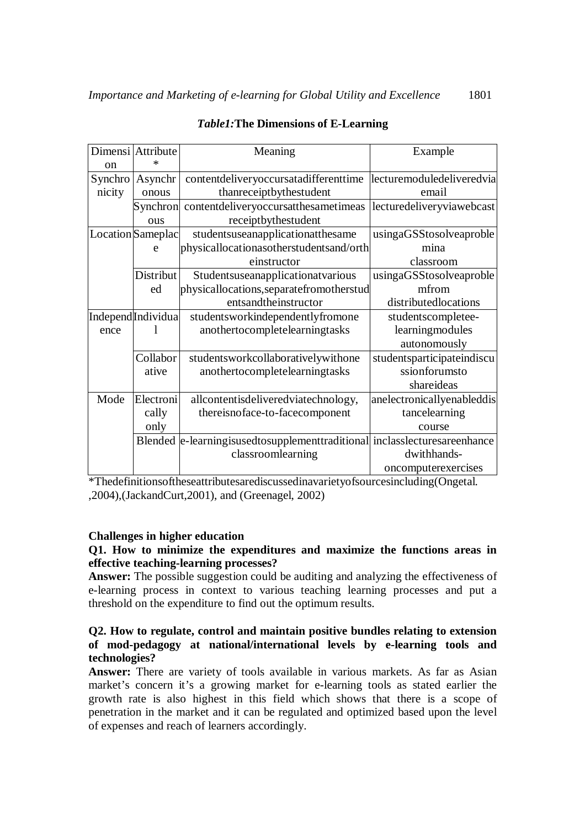|               | Dimensi Attribute              | Meaning                                                                     | Example                    |
|---------------|--------------------------------|-----------------------------------------------------------------------------|----------------------------|
| <sub>on</sub> |                                |                                                                             |                            |
| Synchro       | Asynchr                        | contentdeliveryoccursatadifferenttime                                       | lecturemoduledeliveredvia  |
| nicity        | onous                          | thanreceiptbythestudent                                                     | email                      |
|               | Synchron                       | contentdeliveryoccursatthesametimeas                                        | lecturedeliveryviawebcast  |
|               | ous                            | receiptbythestudent                                                         |                            |
|               | Location Sameplac              | studentsuseanapplicationatthesame                                           | usingaGSStosolveaproble    |
|               | e                              | physicallocationasotherstudentsand/orth                                     | mina                       |
|               |                                | einstructor                                                                 | classroom                  |
|               | Distribut                      | Studentsuseanapplicationatvarious                                           | usingaGSStosolveaproble    |
|               | ed                             | physicallocations, separatefromotherstud                                    | mfrom                      |
|               |                                | entsandtheinstructor                                                        | distributedlocations       |
|               | Independ <sup>Individual</sup> | studentsworkindependentlyfromone                                            | studentscompletee-         |
| ence          |                                | anothertocompletelearningtasks                                              | learningmodules            |
|               |                                |                                                                             | autonomously               |
|               | Collabor                       | studentsworkcollaborativelywithone                                          | studentsparticipateindiscu |
|               | ative                          | anothertocompletelearningtasks                                              | ssionforumsto              |
|               |                                |                                                                             | shareideas                 |
| Mode          | Electroni                      | allcontentisdeliveredviatechnology,                                         | anelectronicallyenableddis |
|               | cally                          | thereisnoface-to-facecomponent                                              | tancelearning              |
|               | only                           |                                                                             | course                     |
|               |                                | Blended  e-learningisusedtosupplementtraditional  inclasslecturesareenhance |                            |
|               |                                | classroomlearning                                                           | dwithhands-                |
|               |                                |                                                                             | oncomputerexercises        |

# **Table1: The Dimensions of E-Learning**

\*Thedefinitionsoftheseattributesarediscussedinavarietyofsourcesincluding(Ongetal. ,2004), (JackandCurt, 2001), and (Greenagel, 2002)

# **Challenges in higher education**

## Q1. How to minimize the expenditures and maximize the functions areas in effective teaching-learning processes?

**Answer:** The possible suggestion could be auditing and analyzing the effectiveness of e-learning process in context to various teaching learning processes and put a threshold on the expenditure to find out the optimum results.

## Q2. How to regulate, control and maintain positive bundles relating to extension of mod-pedagogy at national/international levels by e-learning tools and technologies?

Answer: There are variety of tools available in various markets. As far as Asian market's concern it's a growing market for e-learning tools as stated earlier the growth rate is also highest in this field which shows that there is a scope of penetration in the market and it can be regulated and optimized based upon the level of expenses and reach of learners accordingly.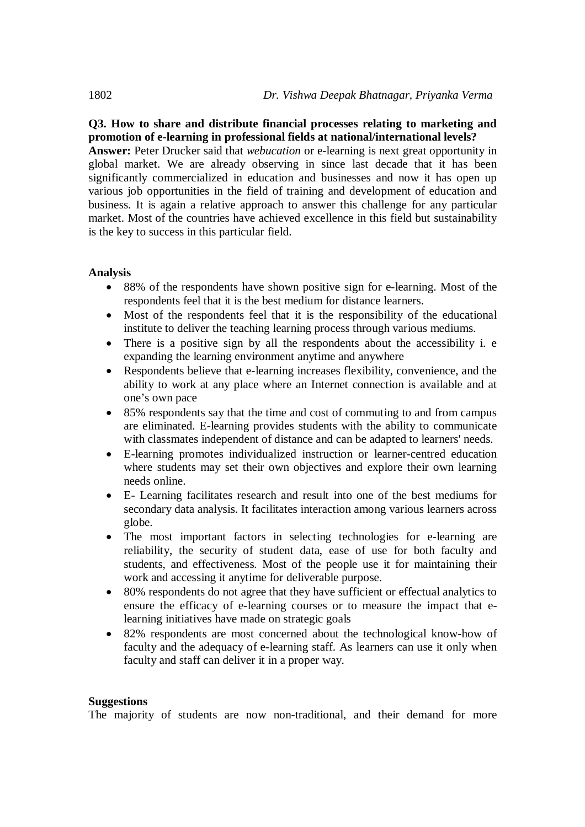# **Q3. How to share and distribute financial processes relating to marketing and promotion of e-learning in professional fields at national/international levels?**

**Answer:** Peter Drucker said that *webucation* or e-learning is next great opportunity in global market. We are already observing in since last decade that it has been significantly commercialized in education and businesses and now it has open up various job opportunities in the field of training and development of education and business. It is again a relative approach to answer this challenge for any particular market. Most of the countries have achieved excellence in this field but sustainability is the key to success in this particular field.

## **Analysis**

- 88% of the respondents have shown positive sign for e-learning. Most of the respondents feel that it is the best medium for distance learners.
- Most of the respondents feel that it is the responsibility of the educational institute to deliver the teaching learning process through various mediums.
- There is a positive sign by all the respondents about the accessibility i. e expanding the learning environment anytime and anywhere
- Respondents believe that e-learning increases flexibility, convenience, and the ability to work at any place where an Internet connection is available and at one's own pace
- 85% respondents say that the time and cost of commuting to and from campus are eliminated. E-learning provides students with the ability to communicate with classmates independent of distance and can be adapted to learners' needs.
- E-learning promotes individualized instruction or learner-centred education where students may set their own objectives and explore their own learning needs online.
- E- Learning facilitates research and result into one of the best mediums for secondary data analysis. It facilitates interaction among various learners across globe.
- The most important factors in selecting technologies for e-learning are reliability, the security of student data, ease of use for both faculty and students, and effectiveness. Most of the people use it for maintaining their work and accessing it anytime for deliverable purpose.
- 80% respondents do not agree that they have sufficient or effectual analytics to ensure the efficacy of e-learning courses or to measure the impact that elearning initiatives have made on strategic goals
- 82% respondents are most concerned about the technological know-how of faculty and the adequacy of e-learning staff. As learners can use it only when faculty and staff can deliver it in a proper way.

### **Suggestions**

The majority of students are now non-traditional, and their demand for more